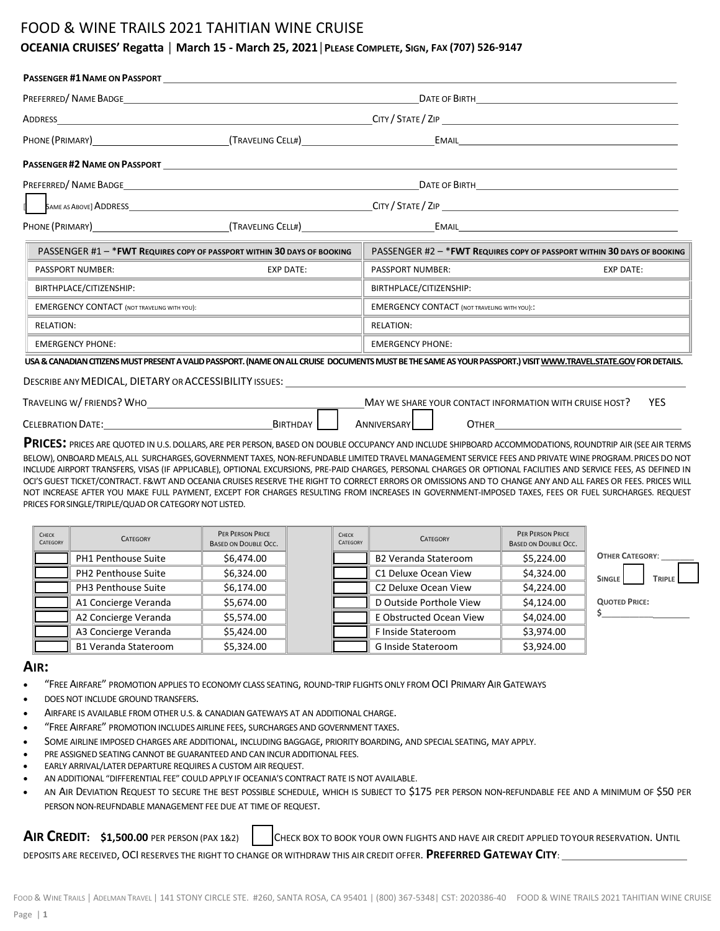## FOOD & WINE TRAILS 2021 TAHITIAN WINE CRUISE

## **OCEANIA CRUISES' Regatta │ March 15 - March 25, 2021│PLEASE COMPLETE, SIGN, FAX (707) 526-9147**

|                                                                                                                                                                 | PHONE (PRIMARY) 1988 1998 (TRAVELING CELL#) <b>FORE CONTAINS CONTAINS CONTAINS CONTAINS CONTAINS CELL#</b> |                         |                                                         |                                                                          |  |  |
|-----------------------------------------------------------------------------------------------------------------------------------------------------------------|------------------------------------------------------------------------------------------------------------|-------------------------|---------------------------------------------------------|--------------------------------------------------------------------------|--|--|
| <b>PASSENGER #2 NAME ON PASSPORT EXAMPLE 2008</b>                                                                                                               |                                                                                                            |                         |                                                         |                                                                          |  |  |
|                                                                                                                                                                 |                                                                                                            |                         |                                                         |                                                                          |  |  |
|                                                                                                                                                                 |                                                                                                            |                         |                                                         |                                                                          |  |  |
|                                                                                                                                                                 |                                                                                                            |                         |                                                         |                                                                          |  |  |
| PASSENGER #1 - * FWT REQUIRES COPY OF PASSPORT WITHIN 30 DAYS OF BOOKING                                                                                        |                                                                                                            |                         |                                                         | PASSENGER #2 - * FWT REQUIRES COPY OF PASSPORT WITHIN 30 DAYS OF BOOKING |  |  |
| <b>EXP DATE:</b><br>PASSPORT NUMBER:                                                                                                                            | PASSPORT NUMBER:<br><b>EXP DATE:</b>                                                                       |                         |                                                         |                                                                          |  |  |
| BIRTHPLACE/CITIZENSHIP:<br><u> 1989 - Johann Stein, markin sanat masjid ayyı bir alan sanat sanat sanat sanat sanat sanat sanat sanat sanat</u>                 |                                                                                                            | BIRTHPLACE/CITIZENSHIP: |                                                         | <u> 1980 - Johann John Stone, mars eta biztanleria (h. 1980).</u>        |  |  |
| <b>EMERGENCY CONTACT (NOT TRAVELING WITH YOU):</b>                                                                                                              |                                                                                                            |                         | <b>EMERGENCY CONTACT (NOT TRAVELING WITH YOU)::</b>     |                                                                          |  |  |
| <b>RELATION:</b>                                                                                                                                                |                                                                                                            | <b>RELATION:</b>        |                                                         |                                                                          |  |  |
| <b>EMERGENCY PHONE:</b>                                                                                                                                         |                                                                                                            | <b>EMERGENCY PHONE:</b> |                                                         |                                                                          |  |  |
| USA & CANADIAN CITIZENS MUST PRESENT A VALID PASSPORT. (NAME ON ALL CRUISE DOCUMENTS MUST BE THE SAME AS YOUR PASSPORT.) VISIT WWW.TRAVELSTATE.GOV FOR DETAILS. |                                                                                                            |                         |                                                         |                                                                          |  |  |
| DESCRIBE ANY MEDICAL, DIETARY OR ACCESSIBILITY ISSUES: University of the Contract of the Contract of the Contr                                                  |                                                                                                            |                         |                                                         |                                                                          |  |  |
| TRAVELING W/FRIENDS? WHO                                                                                                                                        |                                                                                                            |                         | MAY WE SHARE YOUR CONTACT INFORMATION WITH CRUISE HOST? | <b>YES</b>                                                               |  |  |
| CELEBRATION DATE: University of the CELEBRATION DATE:                                                                                                           | BIRTHDAY                                                                                                   | <b>ANNIVERSARY</b>      |                                                         |                                                                          |  |  |

**PRICES:** PRICES ARE QUOTED IN U.S.DOLLARS,ARE PER PERSON, BASED ON DOUBLE OCCUPANCY AND INCLUDE SHIPBOARD ACCOMMODATIONS, ROUNDTRIP AIR (SEEAIR TERMS BELOW), ONBOARD MEALS,ALL SURCHARGES,GOVERNMENT TAXES, NON-REFUNDABLE LIMITED TRAVEL MANAGEMENT SERVICE FEES AND PRIVATE WINE PROGRAM.PRICESDO NOT INCLUDE AIRPORT TRANSFERS, VISAS (IF APPLICABLE), OPTIONAL EXCURSIONS, PRE-PAID CHARGES, PERSONAL CHARGES OR OPTIONAL FACILITIES AND SERVICE FEES, AS DEFINED IN OCI'S GUEST TICKET/CONTRACT. F&WT AND OCEANIA CRUISES RESERVE THE RIGHT TO CORRECT ERRORS OR OMISSIONS AND TO CHANGE ANY AND ALL FARES OR FEES. PRICES WILL NOT INCREASE AFTER YOU MAKE FULL PAYMENT, EXCEPT FOR CHARGES RESULTING FROM INCREASES IN GOVERNMENT-IMPOSED TAXES, FEES OR FUEL SURCHARGES. REQUEST PRICES FOR SINGLE/TRIPLE/QUAD OR CATEGORY NOT LISTED.

| CHECK<br>CATEGORY | <b>CATEGORY</b>             | PER PERSON PRICE<br><b>BASED ON DOUBLE OCC.</b> | CHECK<br>CATEGORY | <b>CATEGORY</b>             | PER PERSON PRICE<br><b>BASED ON DOUBLE OCC.</b> |                                |
|-------------------|-----------------------------|-------------------------------------------------|-------------------|-----------------------------|-------------------------------------------------|--------------------------------|
|                   | PH1 Penthouse Suite         | \$6,474.00                                      |                   | <b>B2 Veranda Stateroom</b> | \$5,224.00                                      | <b>OTHER CATEGORY:</b>         |
|                   | PH2 Penthouse Suite         | \$6,324.00                                      |                   | C1 Deluxe Ocean View        | \$4,324.00                                      | <b>SINGLE</b><br><b>TRIPLE</b> |
|                   | PH3 Penthouse Suite         | \$6,174.00                                      |                   | C2 Deluxe Ocean View        | \$4,224.00                                      |                                |
|                   | A1 Concierge Veranda        | \$5,674.00                                      |                   | D Outside Porthole View     | \$4,124.00                                      | <b>QUOTED PRICE:</b>           |
|                   | A2 Concierge Veranda        | \$5,574.00                                      |                   | E Obstructed Ocean View     | \$4,024.00                                      |                                |
|                   | A3 Concierge Veranda        | \$5.424.00                                      |                   | F Inside Stateroom          | \$3,974.00                                      |                                |
|                   | <b>B1 Veranda Stateroom</b> | \$5,324.00                                      |                   | <b>G Inside Stateroom</b>   | \$3,924.00                                      |                                |

### **AIR:**

- "FREE AIRFARE" PROMOTION APPLIES TO ECONOMY CLASS SEATING, ROUND-TRIP FLIGHTS ONLY FROM OCI PRIMARY AIR GATEWAYS
- DOES NOT INCLUDE GROUND TRANSFERS.
- AIRFARE IS AVAILABLE FROM OTHER U.S. & CANADIAN GATEWAYS AT AN ADDITIONAL CHARGE.
- "FREE AIRFARE" PROMOTION INCLUDES AIRLINE FEES, SURCHARGES AND GOVERNMENT TAXES.
- SOME AIRLINE IMPOSED CHARGES ARE ADDITIONAL, INCLUDING BAGGAGE, PRIORITY BOARDING, AND SPECIAL SEATING, MAY APPLY.
- PRE ASSIGNED SEATING CANNOT BE GUARANTEED AND CAN INCUR ADDITIONAL FEES.
- EARLY ARRIVAL/LATER DEPARTURE REQUIRES A CUSTOM AIR REQUEST.
- AN ADDITIONAL "DIFFERENTIAL FEE" COULD APPLY IF OCEANIA'S CONTRACT RATE IS NOT AVAILABLE.
- AN AIR DEVIATION REQUEST TO SECURE THE BEST POSSIBLE SCHEDULE, WHICH IS SUBJECT TO \$175 PER PERSON NON-REFUNDABLE FEE AND A MINIMUM OF \$50 PER PERSON NON-REUFNDABLE MANAGEMENT FEE DUE AT TIME OF REQUEST.

**AIR CREDIT:** \$1,500.00 PER PERSON (PAX 1&2) | CHECK BOX TO BOOK YOUR OWN FLIGHTS AND HAVE AIR CREDIT APPLIED TOYOUR RESERVATION. UNTIL DEPOSITS ARE RECEIVED, OCI RESERVES THE RIGHT TO CHANGE OR WITHDRAW THIS AIR CREDIT OFFER. **PREFERRED GATEWAY CITY**: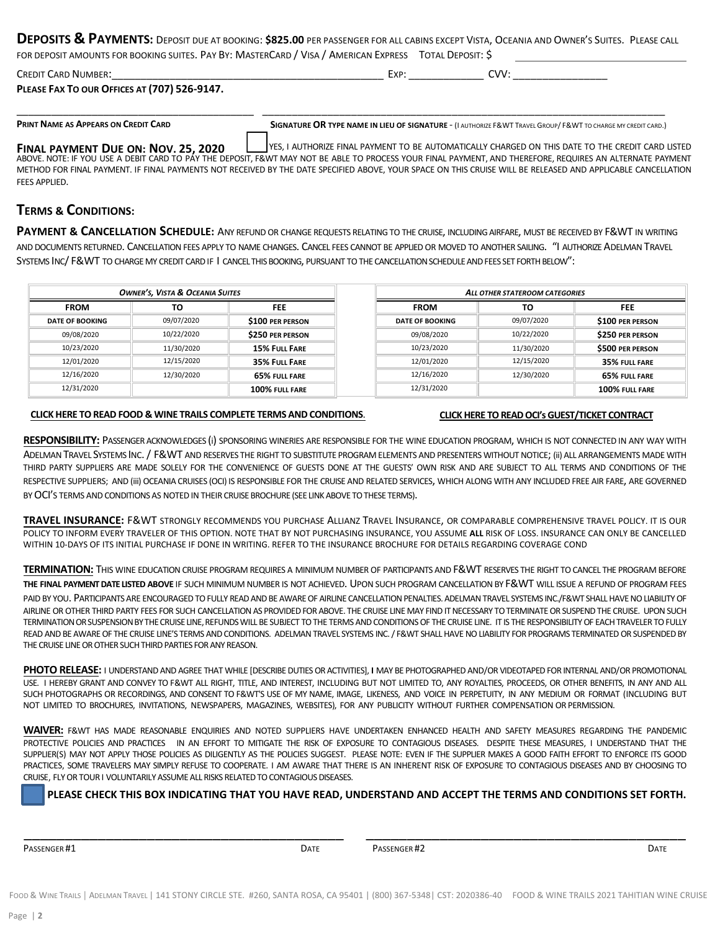| DEPOSITS & PAYMENTS: DEPOSIT DUE AT BOOKING: \$825.00 PER PASSENGER FOR ALL CABINS EXCEPT VISTA, OCEANIA AND OWNER'S SUITES. PLEASE CALL |  |
|------------------------------------------------------------------------------------------------------------------------------------------|--|
| FOR DEPOSIT AMOUNTS FOR BOOKING SUITES PAY BY: MASTERCARD / VISA / AMERICAN EXPRESS TOTAL DEPOSIT' S                                     |  |

| CREDIT CARD NUMBER:                                 | Evo. | ∩W∙ |  |
|-----------------------------------------------------|------|-----|--|
| <b>PLEASE FAX TO OUR OFFICES AT (707) 526-9147.</b> |      |     |  |

\_\_\_\_\_\_\_\_\_\_\_\_\_\_\_\_\_\_\_\_\_\_\_\_\_\_\_\_\_\_\_\_\_\_\_\_\_\_\_\_\_ \_\_\_\_\_\_\_\_\_\_\_\_\_\_\_\_\_\_\_\_\_\_\_\_\_\_\_\_\_\_\_\_\_\_\_\_\_\_\_\_\_\_\_\_\_\_\_\_\_\_\_\_\_\_\_\_\_\_\_\_\_\_\_\_\_\_\_\_

PRINT NAME AS APPEARS ON CREDIT CARD SIGNATURE OR TYPE NAME IN LIEU OF SIGNATURE - (I AUTHORIZE F& WT TRAVEL GROUP/ F& WT TO CHARGE MY CREDIT CARD.)

**FINAL PAYMENT DUE ON: NOV. 25, 2020 Let us the SAUTHORIZE FINAL PAYMENT TO BE AUTOMATICALLY CHARGED ON THIS DATE TO THE CREDIT CARD LISTED** ABOVE. NOTE: IF YOU USE A DEBIT CARD TO PAY THE DEPOSIT, F&WT MAY NOT BE ABLE TO PROCESS YOUR FINAL PAYMENT, AND THEREFORE, REQUIRES AN ALTERNATE PAYMENT METHOD FOR FINAL PAYMENT. IF FINAL PAYMENTS NOT RECEIVED BY THE DATE SPECIFIED ABOVE, YOUR SPACE ON THIS CRUISE WILL BE RELEASED AND APPLICABLE CANCELLATION FEES APPLIED.

## **TERMS & CONDITIONS:**

**PAYMENT & CANCELLATION SCHEDULE:** ANY REFUND OR CHANGE REQUESTS RELATING TO THE CRUISE, INCLUDINGAIRFARE, MUST BE RECEIVED BY F&WT IN WRITING AND DOCUMENTS RETURNED. CANCELLATION FEES APPLY TO NAME CHANGES. CANCEL FEES CANNOT BE APPLIED OR MOVED TO ANOTHER SAILING. "I AUTHORIZEADELMAN TRAVEL SYSTEMS INC/ F&WT TO CHARGEMY CREDIT CARDIF I CANCELTHIS BOOKING, PURSUANT TO THE CANCELLATION SCHEDULEAND FEES SET FORTHBELOW":

| <b>OWNER'S, VISTA &amp; OCEANIA SUITES</b> |            | ALL OTHER STATEROOM CATEGORIES |                        |            |                         |
|--------------------------------------------|------------|--------------------------------|------------------------|------------|-------------------------|
| <b>FROM</b>                                | то         | <b>FEE</b>                     | <b>FROM</b>            | то         | <b>FEE</b>              |
| <b>DATE OF BOOKING</b>                     | 09/07/2020 | \$100 PER PERSON               | <b>DATE OF BOOKING</b> | 09/07/2020 | \$100 PER PERSON        |
| 09/08/2020                                 | 10/22/2020 | <b>\$250 PER PERSON</b>        | 09/08/2020             | 10/22/2020 | <b>\$250 PER PERSON</b> |
| 10/23/2020                                 | 11/30/2020 | <b>15% FULL FARE</b>           | 10/23/2020             | 11/30/2020 | \$500 PER PERSON        |
| 12/01/2020                                 | 12/15/2020 | 35% FULL FARE                  | 12/01/2020             | 12/15/2020 | 35% FULL FARE           |
| 12/16/2020                                 | 12/30/2020 | 65% FULL FARE                  | 12/16/2020             | 12/30/2020 | 65% FULL FARE           |
| 12/31/2020                                 |            | 100% FULL FARE                 | 12/31/2020             |            | 100% FULL FARE          |

### **[CLICK HERE TO READ FOOD & WINE TRAILS COMPLETE TERMS AND CONDITIONS](https://www.foodandwinetrails.com/wp-content/uploads/2020/08/MASTER-FWT-Oceania-Cruises-Terms-and-Conditions.pdf)**.

#### **[CLICK HERE TO READ OCI's GUEST/TICKET CONTRACT](https://www.oceaniacruises.com/legal/ticket-contract/)**

**RESPONSIBILITY:** PASSENGER ACKNOWLEDGES (i) SPONSORING WINERIES ARE RESPONSIBLE FOR THE WINE EDUCATION PROGRAM, WHICH IS NOT CONNECTED IN ANY WAY WITH ADELMAN TRAVEL SYSTEMS INC. / F&WT AND RESERVES THE RIGHT TO SUBSTITUTE PROGRAM ELEMENTS AND PRESENTERS WITHOUT NOTICE; (ii) ALL ARRANGEMENTS MADE WITH THIRD PARTY SUPPLIERS ARE MADE SOLELY FOR THE CONVENIENCE OF GUESTS DONE AT THE GUESTS' OWN RISK AND ARE SUBJECT TO ALL TERMS AND CONDITIONS OF THE RESPECTIVE SUPPLIERS; AND (iii) OCEANIA CRUISES (OCI) IS RESPONSIBLE FOR THE CRUISE AND RELATED SERVICES, WHICH ALONG WITH ANY INCLUDED FREE AIR FARE, ARE GOVERNED BY OCI'S TERMS AND CONDITIONS AS NOTED IN THEIR CRUISE BROCHURE (SEE LINK ABOVE TO THESE TERMS).

**TRAVEL INSURANCE:** F&WT STRONGLY RECOMMENDS YOU PURCHASE ALLIANZ TRAVEL INSURANCE, OR COMPARABLE COMPREHENSIVE TRAVEL POLICY. IT IS OUR POLICY TO INFORM EVERY TRAVELER OF THIS OPTION. NOTE THAT BY NOT PURCHASING INSURANCE, YOU ASSUME **ALL** RISK OF LOSS. INSURANCE CAN ONLY BE CANCELLED WITHIN 10-DAYS OF ITS INITIAL PURCHASE IF DONE IN WRITING. REFER TO THE INSURANCE BROCHURE FOR DETAILS REGARDING COVERAGE COND

**TERMINATION:** THIS WINE EDUCATION CRUISE PROGRAM REQUIRES A MINIMUM NUMBER OF PARTICIPANTS AND F&WT RESERVES THE RIGHT TO CANCEL THE PROGRAM BEFORE **THE FINAL PAYMENT DATE LISTED ABOVE** IF SUCH MINIMUM NUMBER IS NOT ACHIEVED. UPON SUCH PROGRAM CANCELLATIONBY F&WT WILL ISSUE A REFUND OF PROGRAM FEES

PAID BY YOU. PARTICIPANTS ARE ENCOURAGED TO FULLY READ AND BE AWARE OF AIRLINE CANCELLATION PENALTIES. ADELMAN TRAVEL SYSTEMS INC./F&WT SHALL HAVE NO LIABILITY OF AIRLINE OR OTHER THIRD PARTY FEES FOR SUCH CANCELLATION AS PROVIDED FOR ABOVE. THE CRUISE LINE MAY FIND IT NECESSARY TO TERMINATE OR SUSPEND THE CRUISE. UPON SUCH TERMINATIONORSUSPENSIONBYTHECRUISELINE,REFUNDSWILL BE SUBJECT TO THE TERMS AND CONDITIONS OF THE CRUISE LINE. IT IS THE RESPONSIBILITY OF EACH TRAVELER TO FULLY READ AND BE AWARE OF THE CRUISE LINE'S TERMS AND CONDITIONS. ADELMAN TRAVEL SYSTEMS INC. / F&WT SHALL HAVE NO LIABILITY FOR PROGRAMS TERMINATED OR SUSPENDED BY THE CRUISE LINE OR OTHER SUCH THIRD PARTIES FOR ANY REASON.

**PHOTO RELEASE:** I UNDERSTAND AND AGREE THAT WHILE [DESCRIBE DUTIES OR ACTIVITIES], **I** MAY BE PHOTOGRAPHED AND/OR VIDEOTAPED FOR INTERNAL AND/OR PROMOTIONAL USE. I HEREBY GRANT AND CONVEY TO F&WT ALL RIGHT, TITLE, AND INTEREST, INCLUDING BUT NOT LIMITED TO, ANY ROYALTIES, PROCEEDS, OR OTHER BENEFITS, IN ANY AND ALL SUCH PHOTOGRAPHS OR RECORDINGS, AND CONSENT TO F&WT'S USE OF MY NAME, IMAGE, LIKENESS, AND VOICE IN PERPETUITY, IN ANY MEDIUM OR FORMAT (INCLUDING BUT NOT LIMITED TO BROCHURES, INVITATIONS, NEWSPAPERS, MAGAZINES, WEBSITES), FOR ANY PUBLICITY WITHOUT FURTHER COMPENSATION OR PERMISSION.

**WAIVER:** F&WT HAS MADE REASONABLE ENQUIRIES AND NOTED SUPPLIERS HAVE UNDERTAKEN ENHANCED HEALTH AND SAFETY MEASURES REGARDING THE PANDEMIC PROTECTIVE POLICIES AND PRACTICES IN AN EFFORT TO MITIGATE THE RISK OF EXPOSURE TO CONTAGIOUS DISEASES. DESPITE THESE MEASURES, I UNDERSTAND THAT THE SUPPLIER(S) MAY NOT APPLY THOSE POLICIES AS DILIGENTLY AS THE POLICIES SUGGEST. PLEASE NOTE: EVEN IF THE SUPPLIER MAKES A GOOD FAITH EFFORT TO ENFORCE ITS GOOD PRACTICES, SOME TRAVELERS MAY SIMPLY REFUSE TO COOPERATE. I AM AWARE THAT THERE IS AN INHERENT RISK OF EXPOSURE TO CONTAGIOUS DISEASES AND BY CHOOSING TO CRUISE, FLY OR TOUR I VOLUNTARILY ASSUME ALL RISKS RELATED TO CONTAGIOUS DISEASES.

## **PLEASE CHECK THIS BOX INDICATING THAT YOU HAVE READ, UNDERSTAND AND ACCEPT THE TERMS AND CONDITIONS SET FORTH.**

**PASSENGER #1 DATE** PASSENGER #2 **DATE PASSENGER #2 DATE PASSENGER #1 DATE** 

\_\_\_\_\_\_\_\_\_\_\_\_\_\_\_\_\_\_\_\_\_\_\_\_\_\_\_\_\_\_\_\_\_\_\_\_\_\_\_ \_\_\_\_\_\_\_\_\_\_\_\_\_\_\_\_\_\_\_\_\_\_\_\_\_\_\_\_\_\_\_\_\_\_\_\_\_\_\_